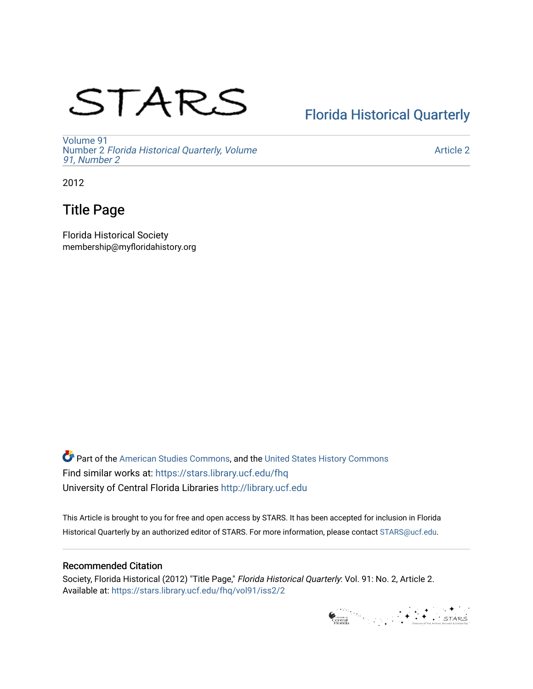# STARS

# [Florida Historical Quarterly](https://stars.library.ucf.edu/fhq)

[Volume 91](https://stars.library.ucf.edu/fhq/vol91) Number 2 [Florida Historical Quarterly, Volume](https://stars.library.ucf.edu/fhq/vol91/iss2)  [91, Number 2](https://stars.library.ucf.edu/fhq/vol91/iss2)

[Article 2](https://stars.library.ucf.edu/fhq/vol91/iss2/2) 

2012

## Title Page

Florida Historical Society membership@myfloridahistory.org

**C** Part of the [American Studies Commons](http://network.bepress.com/hgg/discipline/439?utm_source=stars.library.ucf.edu%2Ffhq%2Fvol91%2Fiss2%2F2&utm_medium=PDF&utm_campaign=PDFCoverPages), and the United States History Commons Find similar works at: <https://stars.library.ucf.edu/fhq> University of Central Florida Libraries [http://library.ucf.edu](http://library.ucf.edu/) 

This Article is brought to you for free and open access by STARS. It has been accepted for inclusion in Florida Historical Quarterly by an authorized editor of STARS. For more information, please contact [STARS@ucf.edu.](mailto:STARS@ucf.edu)

### Recommended Citation

Society, Florida Historical (2012) "Title Page," Florida Historical Quarterly: Vol. 91: No. 2, Article 2. Available at: [https://stars.library.ucf.edu/fhq/vol91/iss2/2](https://stars.library.ucf.edu/fhq/vol91/iss2/2?utm_source=stars.library.ucf.edu%2Ffhq%2Fvol91%2Fiss2%2F2&utm_medium=PDF&utm_campaign=PDFCoverPages) 

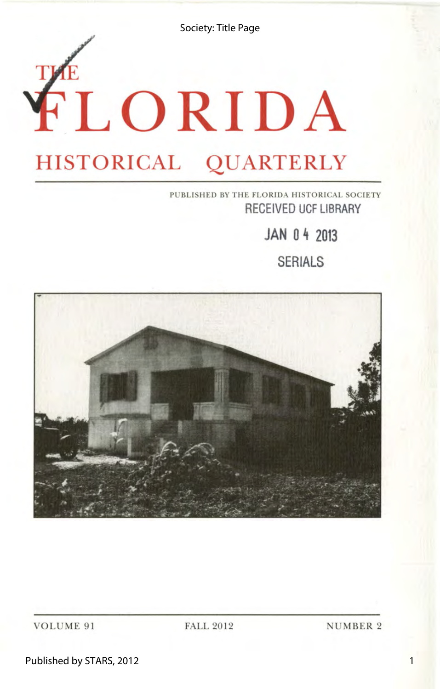Society: Title Page

# $K$ LORIDA **HISTORICAL QUARTERLY**

### PUBLISHED BY THE FLORIDA HISTORICAL SOCIETY **RECEIVED UCF LIBRARY**

**JAN 0 4 2013** 

**SERIALS** 



VOLUME 91

FALL 2012

NUMBER 2

Published by STARS, 2012

1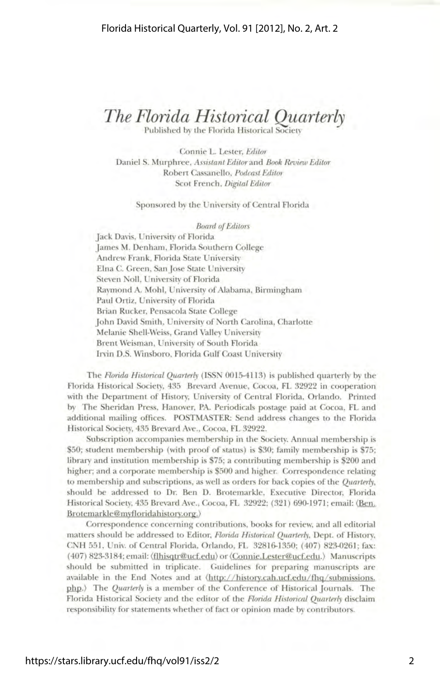### *The Florida Historical Quarterly*

Published by the Florida Historical Society

Connie L. Lester, *Editor*  Daniel S. Murphree, *Assistant Editor* and *Book Review Editor*  Robert Cassanello, *Podcast Editor*  Scot French, *Digital Editor* 

#### Sponsored by the University of Central Florida

*Board of Editors*  Jack Davis, University of Florida James M. Denham, Florida Southern College Andrew Frank, Florida State University Elna C. Green, Sanjose State University Steven Noll, University of Florida Raymond A. Mohl, University of Alabama, Birmingham Paul Ortiz, University of Florida Brian Rucker, Pensacola State College John David Smith, University of North Carolina, Charlotte Melanie Shell-Weiss, Grand Valley University Brent Weisman, University of South Florida Irvin D.S. Winsboro, Florida Gulf Coast University

The *Florida Historical Quarterly* (ISSN 0015-4113) is published quarterly by the Florida Historical Society, 435 Brevard Avenue, Cocoa, FL 32922 in cooperation with the Department of History, University of Central Florida, Orlando. Printed by The Sheridan Press, Hanover, PA. Periodicals postage paid at Cocoa, FL and additional mailing offices. POSTMASTER: Send address changes to the Florida Historical Society, 435 Brevard Ave., Cocoa, FL 32922.

Subscription accompanies membership in the Society. Annual membership is \$50; student membership (with proof of status) is \$30; family membership is \$75; library and institution membership is 75; a contributing membership is \$200 and higher; and a corporate membership is \$500 and higher. Correspondence relating to membership and subscriptions, as well as orders for back copies of the *Quarterly,*  should be addressed to Dr. Ben D. Brotemarkle, Executive Director, Florida Historical Society, 435 Brevard Ave., Cocoa, FL 32922; (321) 690-1971; email: (Ben. Brotemarkle@myfloridahistory.org.)

Correspondence concerning contributions, books for review, and all editorial matters should be addressed to Editor, *Florida Historical Quarterly,* Dept. of History, CNH 551, Univ. of Central Florida, Orlando, FL 32816-1350; (407) 823-0261; fax: ( 407) 823-3184; email: (flhisqtr@ucf.edu) or (Connie.Lester@ucf.edu.) Manuscripts should be submitted in triplicate. Guidelines for preparing manuscripts are available in the End Notes and at  $\langle \frac{http://history.cah.ucf.edu/fhq/submissions.$ php.) The *Quarterly* is a member of the Conference of Historical Journals. The Florida Historical Society and the editor of the *Florida Historical Quarterly* disclaim responsibility for statements whether of fact or opinion made by contributors.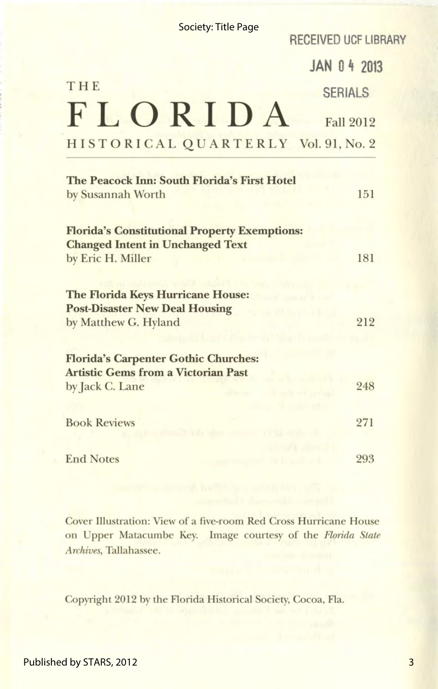| <b>Society: Title Page</b>                                                                                           | <b>RECEIVED UCF LIBRARY</b>     |
|----------------------------------------------------------------------------------------------------------------------|---------------------------------|
|                                                                                                                      | <b>JAN 0 4 2013</b>             |
| THE                                                                                                                  | <b>SERIALS</b>                  |
| FLORIDA                                                                                                              | <b>Fall 2012</b>                |
| HISTORICAL QUARTERLY Vol. 91, No. 2                                                                                  |                                 |
| The Peacock Inn: South Florida's First Hotel<br>by Susannah Worth                                                    | 151                             |
| <b>Florida's Constitutional Property Exemptions:</b><br><b>Changed Intent in Unchanged Text</b><br>by Eric H. Miller | 181                             |
| The Florida Keys Hurricane House:<br><b>Post-Disaster New Deal Housing</b><br>by Matthew G. Hyland                   | 212                             |
| <b>Florida's Carpenter Gothic Churches:</b><br><b>Artistic Gems from a Victorian Past</b><br>by Jack C. Lane         | 248<br><b>CENTER STATISTICS</b> |
| <b>Book Reviews</b>                                                                                                  | <b>TAULAR</b><br>271            |
| <b>End Notes</b>                                                                                                     | <b>ARROUGHLE</b><br>293         |

Cover Illustration: View of a five-room Red Cross Hurricane House on Upper Matacumbe Key. Image courtesy of the *Florida State Archives,* Tallahassee.

Copyright 2012 by the Florida Historical Society, Cocoa, Fla.